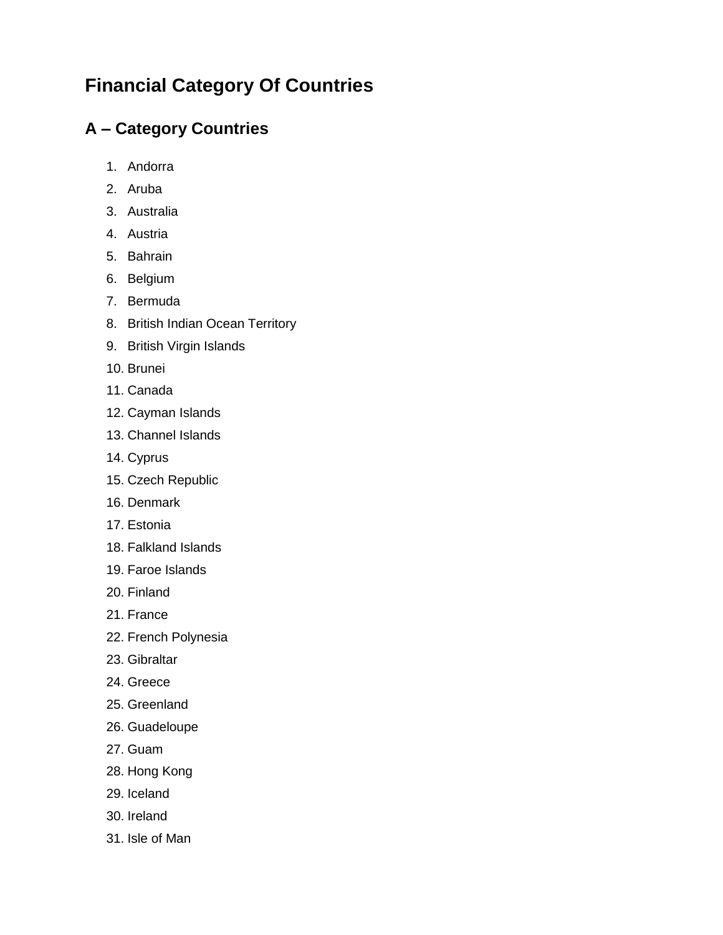## **Financial Category Of Countries**

## **A – Category Countries**

- 1. Andorra
- 2. Aruba
- 3. Australia
- 4. Austria
- 5. Bahrain
- 6. Belgium
- 7. Bermuda
- 8. British Indian Ocean Territory
- 9. British Virgin Islands
- 10. Brunei
- 11. Canada
- 12. Cayman Islands
- 13. Channel Islands
- 14. Cyprus
- 15. Czech Republic
- 16. Denmark
- 17. Estonia
- 18. Falkland Islands
- 19. Faroe Islands
- 20. Finland
- 21. France
- 22. French Polynesia
- 23. Gibraltar
- 24. Greece
- 25. Greenland
- 26. Guadeloupe
- 27. Guam
- 28. Hong Kong
- 29. Iceland
- 30. Ireland
- 31. Isle of Man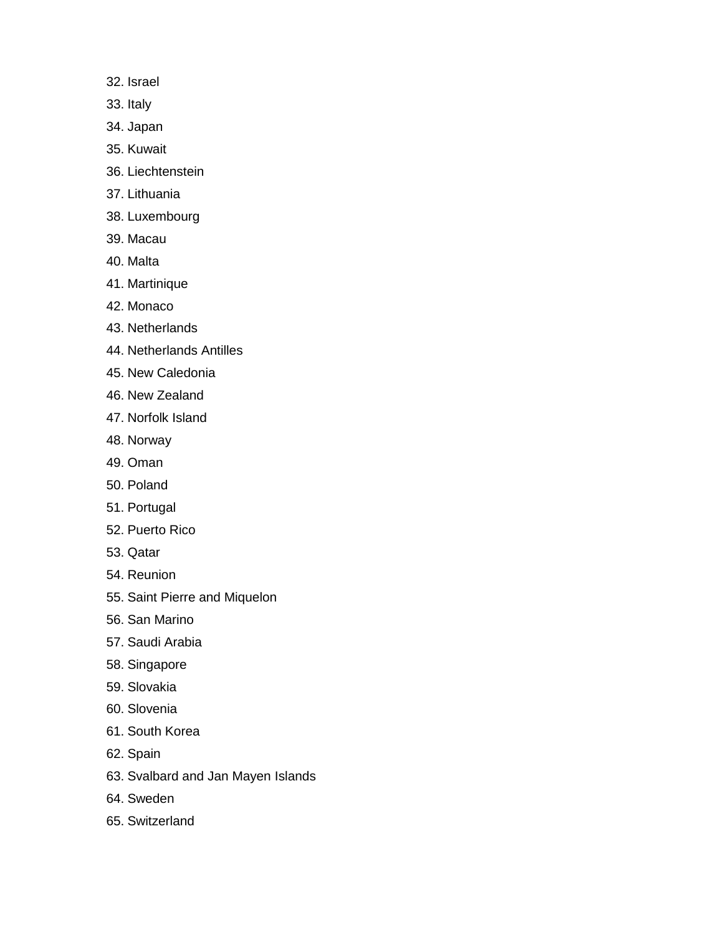- 32. Israel
- 33. Italy
- 34. Japan
- 35. Kuwait
- 36. Liechtenstein
- 37. Lithuania
- 38. Luxembourg
- 39. Macau
- 40. Malta
- 41. Martinique
- 42. Monaco
- 43. Netherlands
- 44. Netherlands Antilles
- 45. New Caledonia
- 46. New Zealand
- 47. Norfolk Island
- 48. Norway
- 49. Oman
- 50. Poland
- 51. Portugal
- 52. Puerto Rico
- 53. Qatar
- 54. Reunion
- 55. Saint Pierre and Miquelon
- 56. San Marino
- 57. Saudi Arabia
- 58. Singapore
- 59. Slovakia
- 60. Slovenia
- 61. South Korea
- 62. Spain
- 63. Svalbard and Jan Mayen Islands
- 64. Sweden
- 65. Switzerland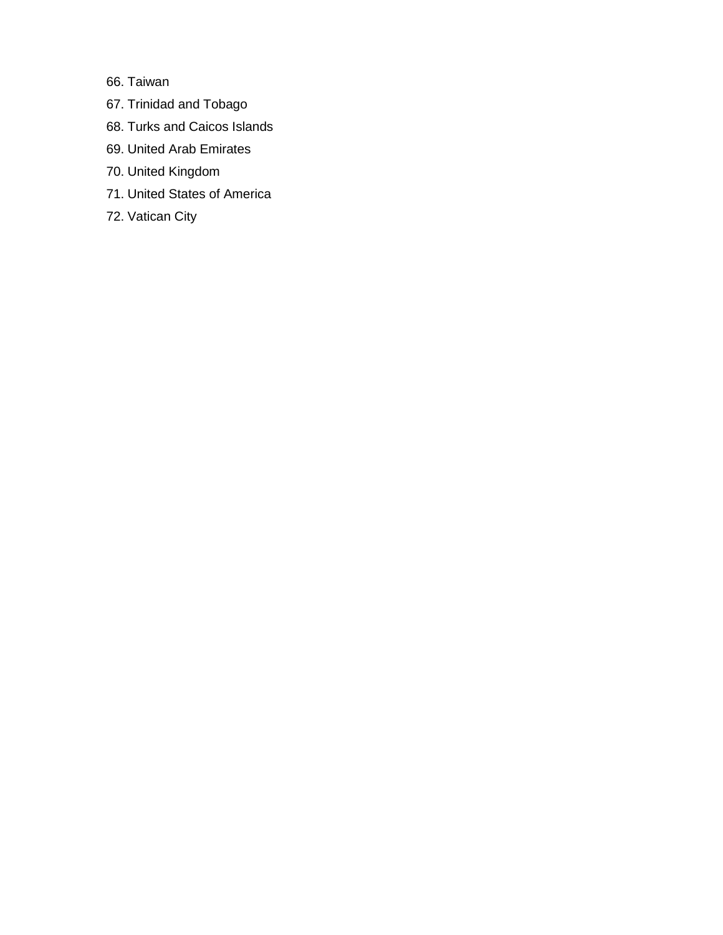66. Taiwan

- 67. Trinidad and Tobago
- 68. Turks and Caicos Islands
- 69. United Arab Emirates
- 70. United Kingdom
- 71. United States of America
- 72. Vatican City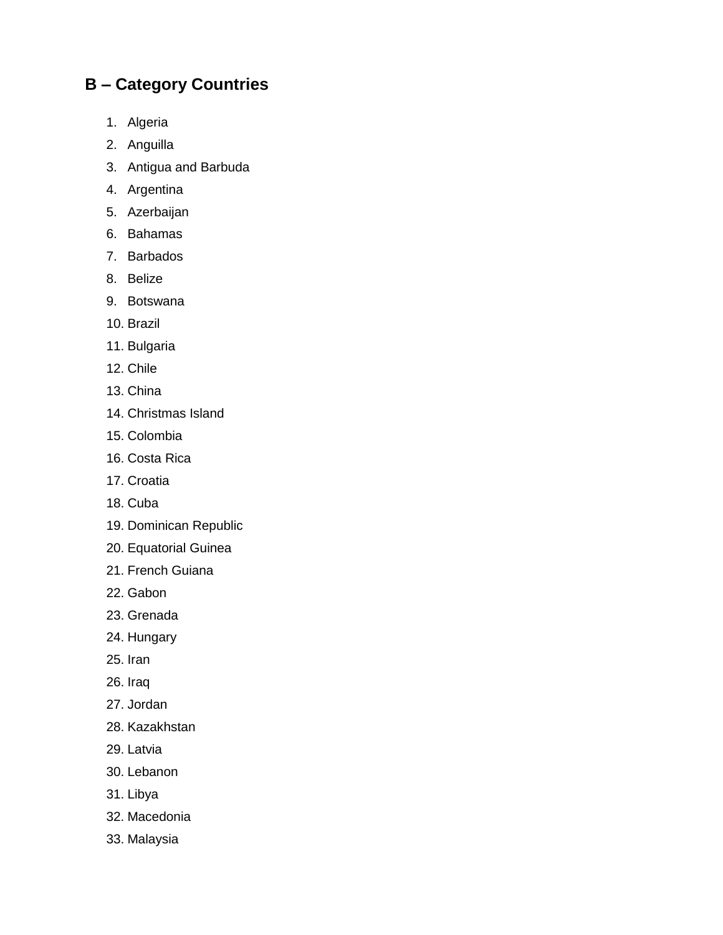## **B – Category Countries**

- 1. Algeria
- 2. Anguilla
- 3. Antigua and Barbuda
- 4. Argentina
- 5. Azerbaijan
- 6. Bahamas
- 7. Barbados
- 8. Belize
- 9. Botswana
- 10. Brazil
- 11. Bulgaria
- 12. Chile
- 13. China
- 14. Christmas Island
- 15. Colombia
- 16. Costa Rica
- 17. Croatia
- 18. Cuba
- 19. Dominican Republic
- 20. Equatorial Guinea
- 21. French Guiana
- 22. Gabon
- 23. Grenada
- 24. Hungary
- 25. Iran
- 26. Iraq
- 27. Jordan
- 28. Kazakhstan
- 29. Latvia
- 30. Lebanon
- 31. Libya
- 32. Macedonia
- 33. Malaysia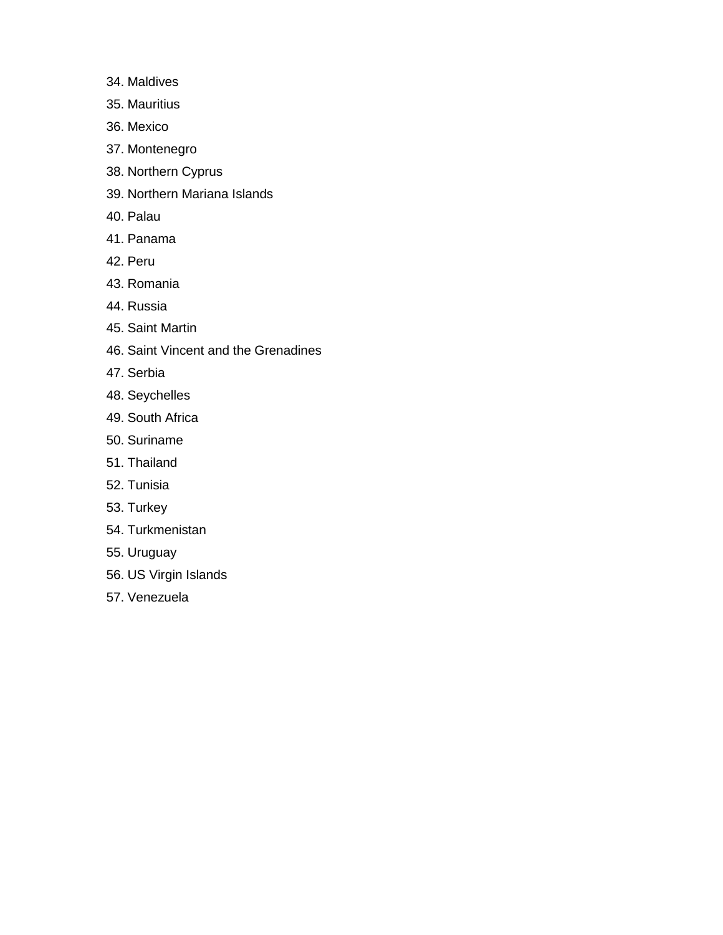- 34. Maldives
- 35. Mauritius
- 36. Mexico
- 37. Montenegro
- 38. Northern Cyprus
- 39. Northern Mariana Islands
- 40. Palau
- 41. Panama
- 42. Peru
- 43. Romania
- 44. Russia
- 45. Saint Martin
- 46. Saint Vincent and the Grenadines
- 47. Serbia
- 48. Seychelles
- 49. South Africa
- 50. Suriname
- 51. Thailand
- 52. Tunisia
- 53. Turkey
- 54. Turkmenistan
- 55. Uruguay
- 56. US Virgin Islands
- 57. Venezuela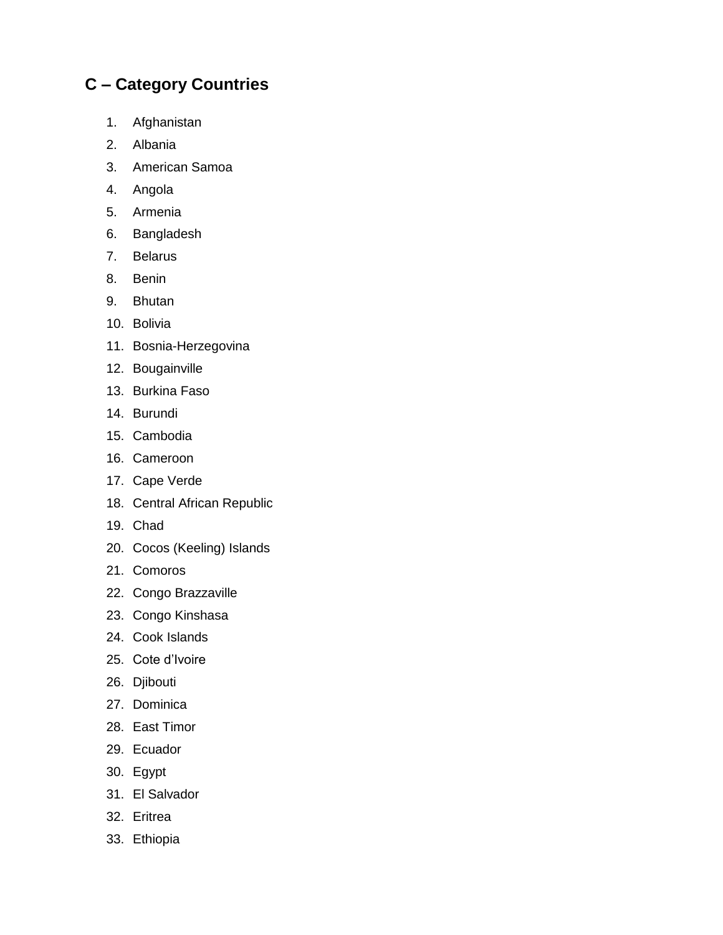## **C – Category Countries**

- 1. Afghanistan
- 2. Albania
- 3. American Samoa
- 4. Angola
- 5. Armenia
- 6. Bangladesh
- 7. Belarus
- 8. Benin
- 9. Bhutan
- 10. Bolivia
- 11. Bosnia-Herzegovina
- 12. Bougainville
- 13. Burkina Faso
- 14. Burundi
- 15. Cambodia
- 16. Cameroon
- 17. Cape Verde
- 18. Central African Republic
- 19. Chad
- 20. Cocos (Keeling) Islands
- 21. Comoros
- 22. Congo Brazzaville
- 23. Congo Kinshasa
- 24. Cook Islands
- 25. Cote d'Ivoire
- 26. Djibouti
- 27. Dominica
- 28. East Timor
- 29. Ecuador
- 30. Egypt
- 31. El Salvador
- 32. Eritrea
- 33. Ethiopia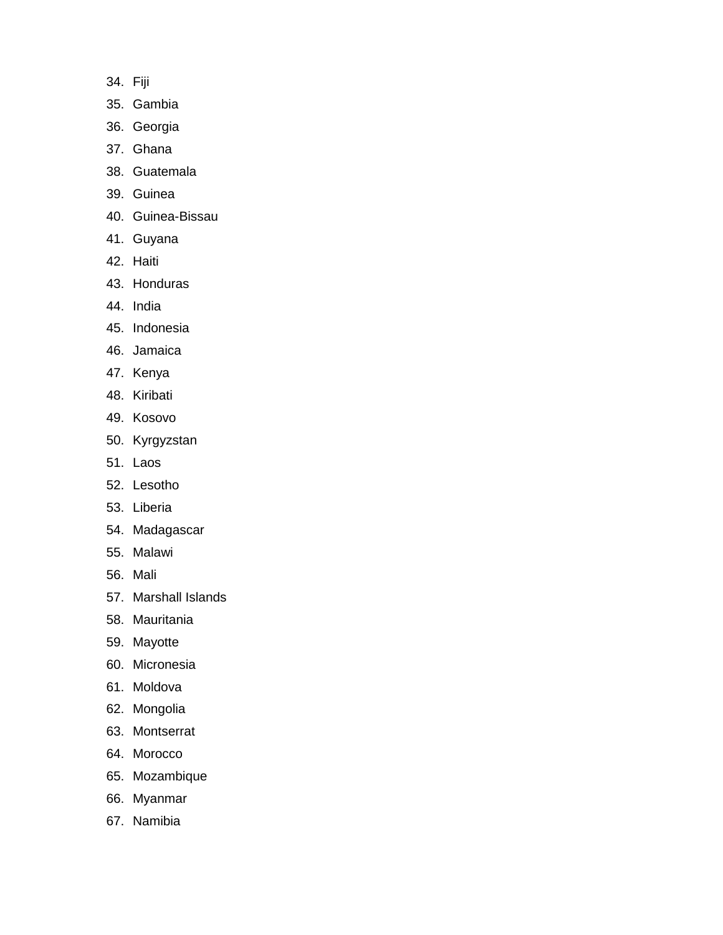- 34. Fiji
- 35. Gambia
- 36. Georgia
- 37. Ghana
- 38. Guatemala
- 39. Guinea
- 40. Guinea-Bissau
- 41. Guyana
- 42. Haiti
- 43. Honduras
- 44. India
- 45. Indonesia
- 46. Jamaica
- 47. Kenya
- 48. Kiribati
- 49. Kosovo
- 50. Kyrgyzstan
- 51. Laos
- 52. Lesotho
- 53. Liberia
- 54. Madagascar
- 55. Malawi
- 56. Mali
- 57. Marshall Islands
- 58. Mauritania
- 59. Mayotte
- 60. Micronesia
- 61. Moldova
- 62. Mongolia
- 63. Montserrat
- 64. Morocco
- 65. Mozambique
- 66. Myanmar
- 67. Namibia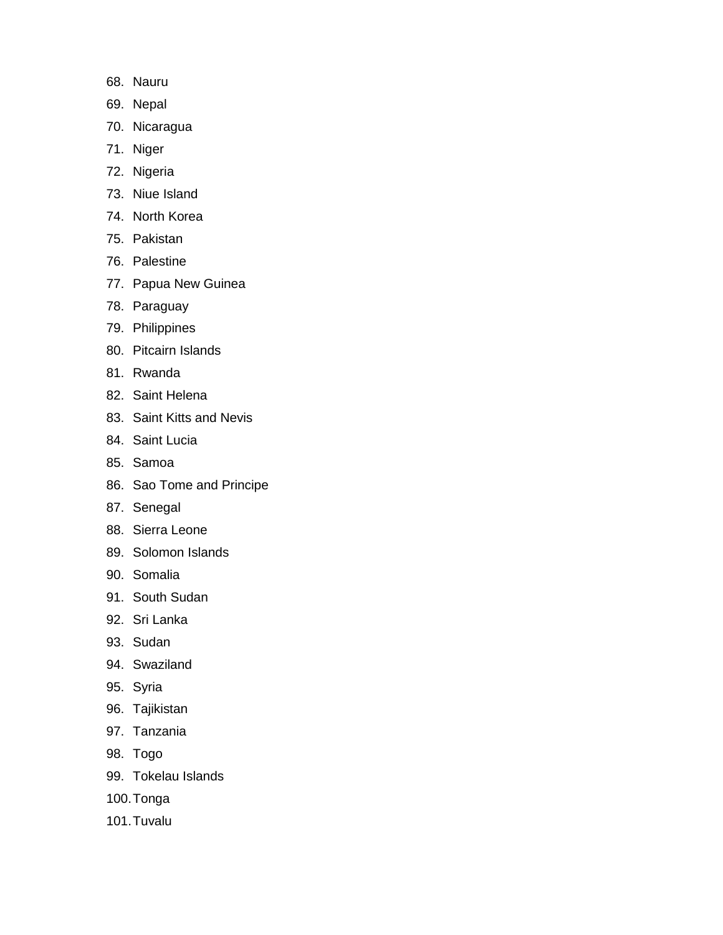- 68. Nauru
- 69. Nepal
- 70. Nicaragua
- 71. Niger
- 72. Nigeria
- 73. Niue Island
- 74. North Korea
- 75. Pakistan
- 76. Palestine
- 77. Papua New Guinea
- 78. Paraguay
- 79. Philippines
- 80. Pitcairn Islands
- 81. Rwanda
- 82. Saint Helena
- 83. Saint Kitts and Nevis
- 84. Saint Lucia
- 85. Samoa
- 86. Sao Tome and Principe
- 87. Senegal
- 88. Sierra Leone
- 89. Solomon Islands
- 90. Somalia
- 91. South Sudan
- 92. Sri Lanka
- 93. Sudan
- 94. Swaziland
- 95. Syria
- 96. Tajikistan
- 97. Tanzania
- 98. Togo
- 99. Tokelau Islands
- 100.Tonga
- 101.Tuvalu